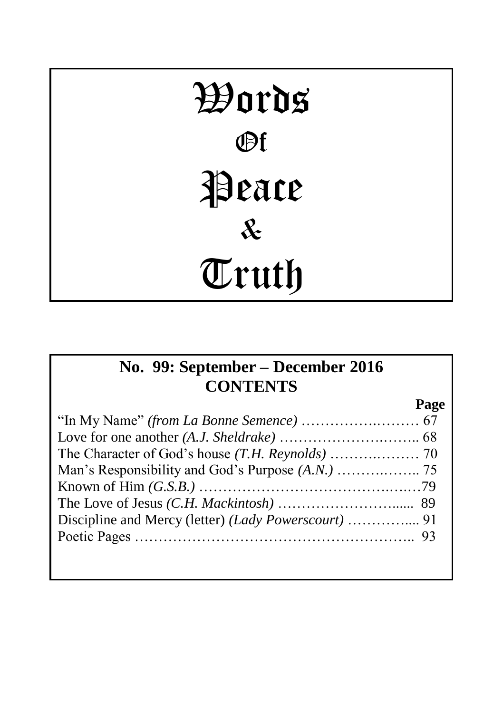# Words Of Peace & Truth

# **No. 99: September – December 2016 CONTENTS**

**Page**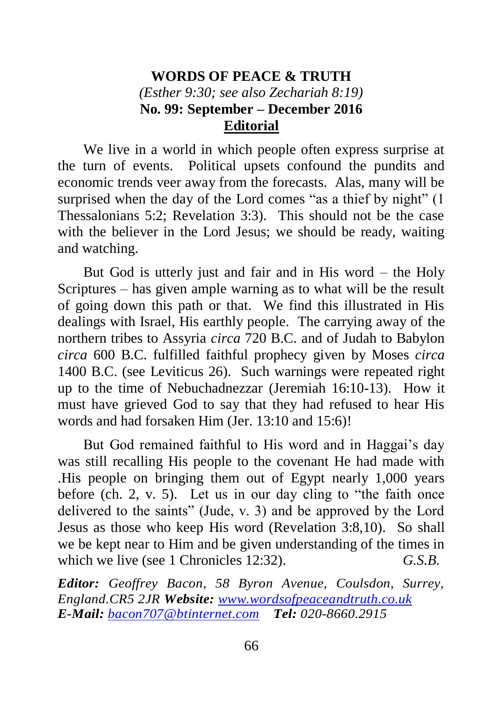## **WORDS OF PEACE & TRUTH** *(Esther 9:30; see also Zechariah 8:19)* **No. 99: September – December 2016 Editorial**

We live in a world in which people often express surprise at the turn of events. Political upsets confound the pundits and economic trends veer away from the forecasts. Alas, many will be surprised when the day of the Lord comes "as a thief by night" (1) Thessalonians 5:2; Revelation 3:3). This should not be the case with the believer in the Lord Jesus; we should be ready, waiting and watching.

But God is utterly just and fair and in His word – the Holy Scriptures – has given ample warning as to what will be the result of going down this path or that. We find this illustrated in His dealings with Israel, His earthly people. The carrying away of the northern tribes to Assyria *circa* 720 B.C. and of Judah to Babylon *circa* 600 B.C. fulfilled faithful prophecy given by Moses *circa*  1400 B.C. (see Leviticus 26). Such warnings were repeated right up to the time of Nebuchadnezzar (Jeremiah 16:10-13). How it must have grieved God to say that they had refused to hear His words and had forsaken Him (Jer. 13:10 and 15:6)!

But God remained faithful to His word and in Haggai's day was still recalling His people to the covenant He had made with .His people on bringing them out of Egypt nearly 1,000 years before (ch. 2, v. 5). Let us in our day cling to "the faith once delivered to the saints" (Jude, v. 3) and be approved by the Lord Jesus as those who keep His word (Revelation 3:8,10). So shall we be kept near to Him and be given understanding of the times in which we live (see 1 Chronicles 12:32). *G.S.B.* 

*Editor: Geoffrey Bacon, 58 Byron Avenue, Coulsdon, Surrey, England.CR5 2JR Website: [www.wordsofpeaceandtruth.co.uk](http://www.wordsofpeaceandtruth.co.uk/) E-Mail: [bacon707@btinternet.com](mailto:bacon707@btinternet.com) Tel: 020-8660.2915*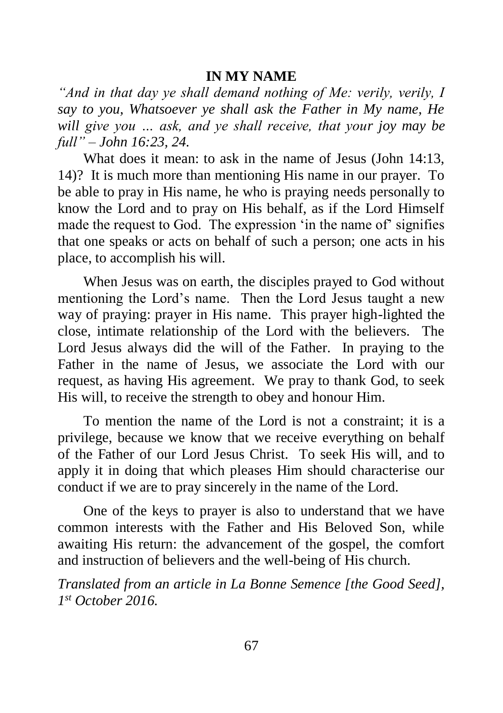#### **IN MY NAME**

*"And in that day ye shall demand nothing of Me: verily, verily, I say to you, Whatsoever ye shall ask the Father in My name, He will give you … ask, and ye shall receive, that your joy may be full" – John 16:23, 24.*

What does it mean: to ask in the name of Jesus (John 14:13, 14)? It is much more than mentioning His name in our prayer. To be able to pray in His name, he who is praying needs personally to know the Lord and to pray on His behalf, as if the Lord Himself made the request to God. The expression 'in the name of' signifies that one speaks or acts on behalf of such a person; one acts in his place, to accomplish his will.

When Jesus was on earth, the disciples prayed to God without mentioning the Lord's name. Then the Lord Jesus taught a new way of praying: prayer in His name. This prayer high-lighted the close, intimate relationship of the Lord with the believers. The Lord Jesus always did the will of the Father. In praying to the Father in the name of Jesus, we associate the Lord with our request, as having His agreement. We pray to thank God, to seek His will, to receive the strength to obey and honour Him.

To mention the name of the Lord is not a constraint; it is a privilege, because we know that we receive everything on behalf of the Father of our Lord Jesus Christ. To seek His will, and to apply it in doing that which pleases Him should characterise our conduct if we are to pray sincerely in the name of the Lord.

One of the keys to prayer is also to understand that we have common interests with the Father and His Beloved Son, while awaiting His return: the advancement of the gospel, the comfort and instruction of believers and the well-being of His church.

*Translated from an article in La Bonne Semence [the Good Seed], 1 st October 2016.*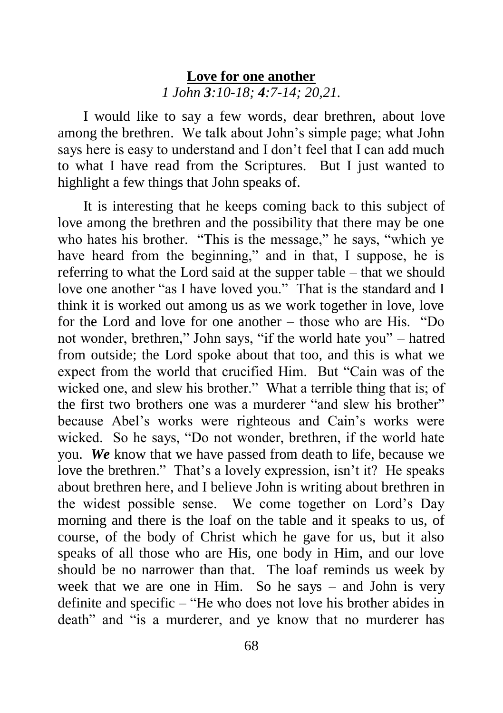### **Love for one another** *1 John 3:10-18; 4:7-14; 20,21.*

I would like to say a few words, dear brethren, about love among the brethren. We talk about John's simple page; what John says here is easy to understand and I don't feel that I can add much to what I have read from the Scriptures. But I just wanted to highlight a few things that John speaks of.

It is interesting that he keeps coming back to this subject of love among the brethren and the possibility that there may be one who hates his brother. "This is the message," he says, "which ye have heard from the beginning," and in that, I suppose, he is referring to what the Lord said at the supper table – that we should love one another "as I have loved you." That is the standard and I think it is worked out among us as we work together in love, love for the Lord and love for one another – those who are His. "Do not wonder, brethren," John says, "if the world hate you" – hatred from outside; the Lord spoke about that too, and this is what we expect from the world that crucified Him. But "Cain was of the wicked one, and slew his brother." What a terrible thing that is; of the first two brothers one was a murderer "and slew his brother" because Abel's works were righteous and Cain's works were wicked. So he says, "Do not wonder, brethren, if the world hate you. *We* know that we have passed from death to life, because we love the brethren." That's a lovely expression, isn't it? He speaks about brethren here, and I believe John is writing about brethren in the widest possible sense. We come together on Lord's Day morning and there is the loaf on the table and it speaks to us, of course, of the body of Christ which he gave for us, but it also speaks of all those who are His, one body in Him, and our love should be no narrower than that. The loaf reminds us week by week that we are one in Him. So he says – and John is very definite and specific – "He who does not love his brother abides in death" and "is a murderer, and ye know that no murderer has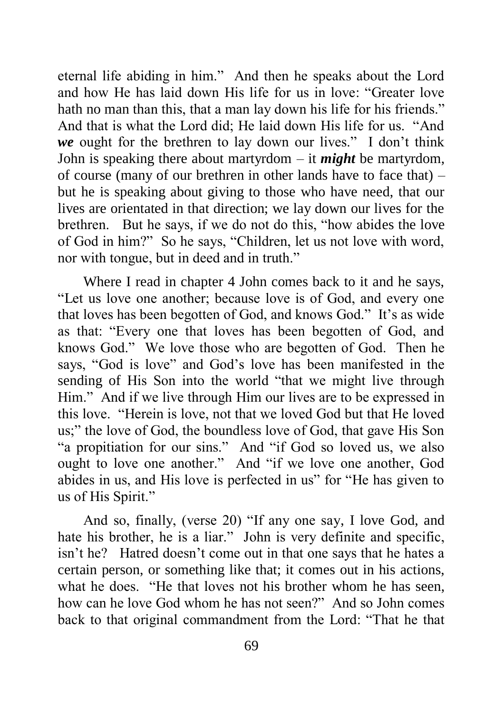eternal life abiding in him." And then he speaks about the Lord and how He has laid down His life for us in love: "Greater love hath no man than this, that a man lay down his life for his friends." And that is what the Lord did; He laid down His life for us. "And *we* ought for the brethren to lay down our lives." I don't think John is speaking there about martyrdom – it *might* be martyrdom, of course (many of our brethren in other lands have to face that) – but he is speaking about giving to those who have need, that our lives are orientated in that direction; we lay down our lives for the brethren. But he says, if we do not do this, "how abides the love of God in him?" So he says, "Children, let us not love with word, nor with tongue, but in deed and in truth."

Where I read in chapter 4 John comes back to it and he says, "Let us love one another; because love is of God, and every one that loves has been begotten of God, and knows God." It's as wide as that: "Every one that loves has been begotten of God, and knows God." We love those who are begotten of God. Then he says, "God is love" and God's love has been manifested in the sending of His Son into the world "that we might live through Him." And if we live through Him our lives are to be expressed in this love. "Herein is love, not that we loved God but that He loved us;" the love of God, the boundless love of God, that gave His Son "a propitiation for our sins." And "if God so loved us, we also ought to love one another." And "if we love one another, God abides in us, and His love is perfected in us" for "He has given to us of His Spirit."

And so, finally, (verse 20) "If any one say, I love God, and hate his brother, he is a liar." John is very definite and specific, isn't he? Hatred doesn't come out in that one says that he hates a certain person, or something like that; it comes out in his actions, what he does. "He that loves not his brother whom he has seen, how can he love God whom he has not seen?" And so John comes back to that original commandment from the Lord: "That he that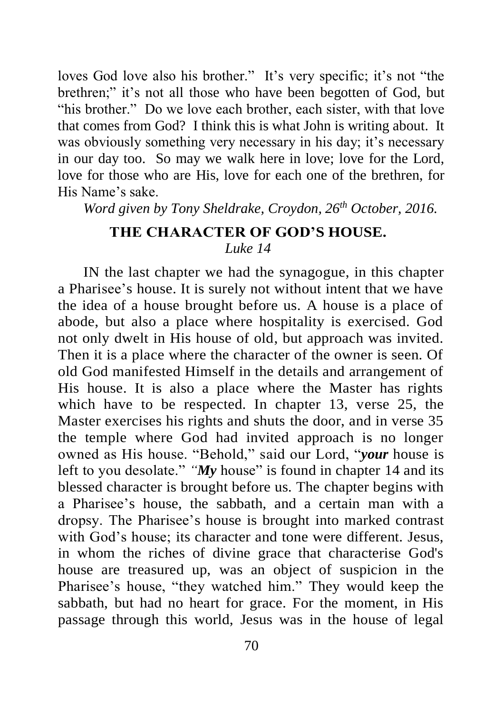loves God love also his brother." It's very specific; it's not "the brethren;" it's not all those who have been begotten of God, but "his brother." Do we love each brother, each sister, with that love that comes from God? I think this is what John is writing about. It was obviously something very necessary in his day; it's necessary in our day too. So may we walk here in love; love for the Lord, love for those who are His, love for each one of the brethren, for His Name's sake.

*Word given by Tony Sheldrake, Croydon, 26th October, 2016.*

# **THE CHARACTER OF GOD'S HOUSE.**  *Luke 14*

IN the last chapter we had the synagogue, in this chapter a Pharisee's house. It is surely not without intent that we have the idea of a house brought before us. A house is a place of abode, but also a place where hospitality is exercised. God not only dwelt in His house of old, but approach was invited. Then it is a place where the character of the owner is seen. Of old God manifested Himself in the details and arrangement of His house. It is also a place where the Master has rights which have to be respected. In chapter 13, verse 25, the Master exercises his rights and shuts the door, and in verse 35 the temple where God had invited approach is no longer owned as His house. "Behold," said our Lord, "*your* house is left to you desolate." *"My* house" is found in chapter 14 and its blessed character is brought before us. The chapter begins with a Pharisee's house, the sabbath, and a certain man with a dropsy. The Pharisee's house is brought into marked contrast with God's house; its character and tone were different. Jesus, in whom the riches of divine grace that characterise God's house are treasured up, was an object of suspicion in the Pharisee's house, "they watched him." They would keep the sabbath, but had no heart for grace. For the moment, in His passage through this world, Jesus was in the house of legal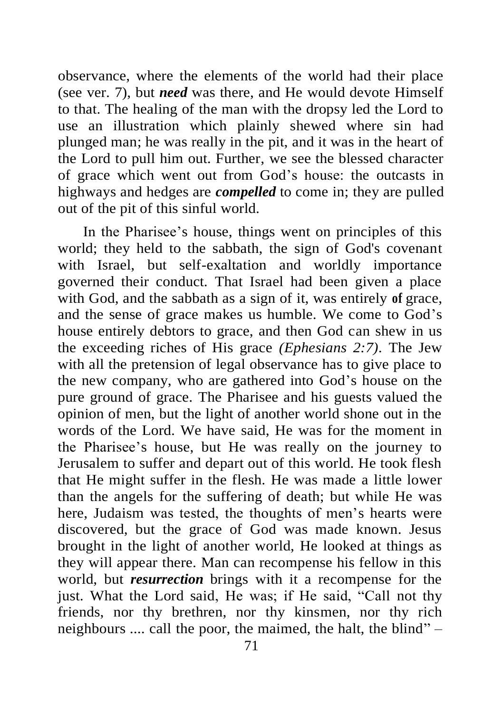observance, where the elements of the world had their place (see ver. 7), but *need* was there, and He would devote Himself to that. The healing of the man with the dropsy led the Lord to use an illustration which plainly shewed where sin had plunged man; he was really in the pit, and it was in the heart of the Lord to pull him out. Further, we see the blessed character of grace which went out from God's house: the outcasts in highways and hedges are *compelled* to come in; they are pulled out of the pit of this sinful world.

In the Pharisee's house, things went on principles of this world; they held to the sabbath, the sign of God's covenant with Israel, but self-exaltation and worldly importance governed their conduct. That Israel had been given a place with God, and the sabbath as a sign of it, was entirely **of** grace, and the sense of grace makes us humble. We come to God's house entirely debtors to grace, and then God can shew in us the exceeding riches of His grace *(Ephesians 2:7)*. The Jew with all the pretension of legal observance has to give place to the new company, who are gathered into God's house on the pure ground of grace. The Pharisee and his guests valued the opinion of men, but the light of another world shone out in the words of the Lord. We have said, He was for the moment in the Pharisee's house, but He was really on the journey to Jerusalem to suffer and depart out of this world. He took flesh that He might suffer in the flesh. He was made a little lower than the angels for the suffering of death; but while He was here, Judaism was tested, the thoughts of men's hearts were discovered, but the grace of God was made known. Jesus brought in the light of another world, He looked at things as they will appear there. Man can recompense his fellow in this world, but *resurrection* brings with it a recompense for the just. What the Lord said, He was; if He said, "Call not thy friends, nor thy brethren, nor thy kinsmen, nor thy rich neighbours .... call the poor, the maimed, the halt, the blind" –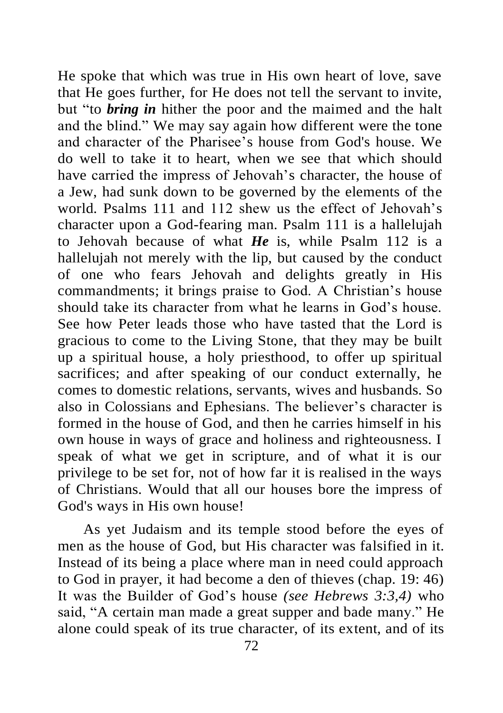He spoke that which was true in His own heart of love, save that He goes further, for He does not tell the servant to invite, but "to *bring in* hither the poor and the maimed and the halt and the blind." We may say again how different were the tone and character of the Pharisee's house from God's house. We do well to take it to heart, when we see that which should have carried the impress of Jehovah's character, the house of a Jew, had sunk down to be governed by the elements of the world. Psalms 111 and 112 shew us the effect of Jehovah's character upon a God-fearing man. Psalm 111 is a hallelujah to Jehovah because of what *He* is, while Psalm 112 is a hallelujah not merely with the lip, but caused by the conduct of one who fears Jehovah and delights greatly in His commandments; it brings praise to God. A Christian's house should take its character from what he learns in God's house. See how Peter leads those who have tasted that the Lord is gracious to come to the Living Stone, that they may be built up a spiritual house, a holy priesthood, to offer up spiritual sacrifices; and after speaking of our conduct externally, he comes to domestic relations, servants, wives and husbands. So also in Colossians and Ephesians. The believer's character is formed in the house of God, and then he carries himself in his own house in ways of grace and holiness and righteousness. I speak of what we get in scripture, and of what it is our privilege to be set for, not of how far it is realised in the ways of Christians. Would that all our houses bore the impress of God's ways in His own house!

As yet Judaism and its temple stood before the eyes of men as the house of God, but His character was falsified in it. Instead of its being a place where man in need could approach to God in prayer, it had become a den of thieves (chap. 19: 46) It was the Builder of God's house *(see Hebrews 3:3,4)* who said, "A certain man made a great supper and bade many." He alone could speak of its true character, of its extent, and of its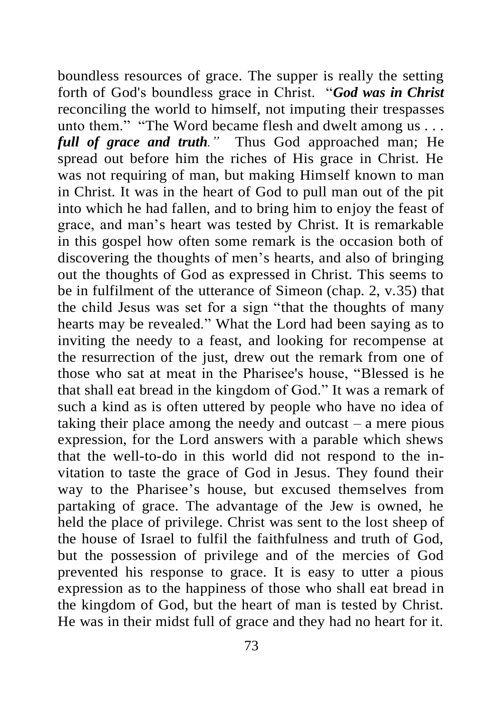boundless resources of grace. The supper is really the setting forth of God's boundless grace in Christ. "*God was in Christ* reconciling the world to himself, not imputing their trespasses unto them." "The Word became flesh and dwelt among us . . . *full of grace and truth."* Thus God approached man; He spread out before him the riches of His grace in Christ. He was not requiring of man, but making Himself known to man in Christ. It was in the heart of God to pull man out of the pit into which he had fallen, and to bring him to enjoy the feast of grace, and man's heart was tested by Christ. It is remarkable in this gospel how often some remark is the occasion both of discovering the thoughts of men's hearts, and also of bringing out the thoughts of God as expressed in Christ. This seems to be in fulfilment of the utterance of Simeon (chap. 2, v.35) that the child Jesus was set for a sign "that the thoughts of many hearts may be revealed." What the Lord had been saying as to inviting the needy to a feast, and looking for recompense at the resurrection of the just, drew out the remark from one of those who sat at meat in the Pharisee's house, "Blessed is he that shall eat bread in the kingdom of God." It was a remark of such a kind as is often uttered by people who have no idea of taking their place among the needy and outcast – a mere pious expression, for the Lord answers with a parable which shews that the well-to-do in this world did not respond to the invitation to taste the grace of God in Jesus. They found their way to the Pharisee's house, but excused themselves from partaking of grace. The advantage of the Jew is owned, he held the place of privilege. Christ was sent to the lost sheep of the house of Israel to fulfil the faithfulness and truth of God, but the possession of privilege and of the mercies of God prevented his response to grace. It is easy to utter a pious expression as to the happiness of those who shall eat bread in the kingdom of God, but the heart of man is tested by Christ. He was in their midst full of grace and they had no heart for it.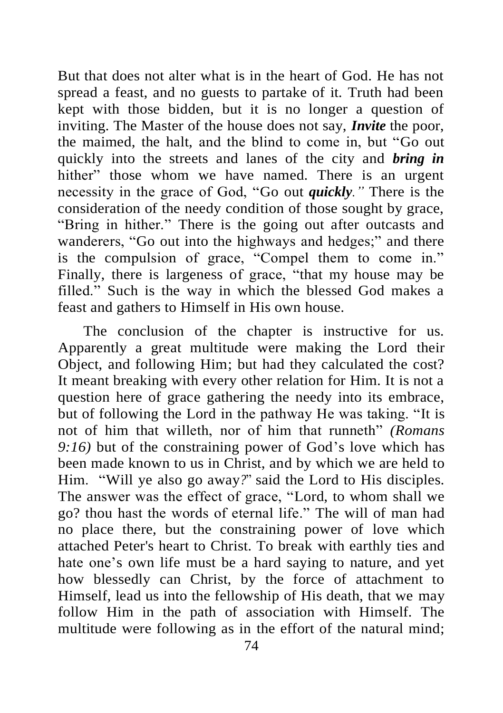But that does not alter what is in the heart of God. He has not spread a feast, and no guests to partake of it. Truth had been kept with those bidden, but it is no longer a question of inviting. The Master of the house does not say, *Invite* the poor, the maimed, the halt, and the blind to come in, but "Go out quickly into the streets and lanes of the city and *bring in* hither" those whom we have named. There is an urgent necessity in the grace of God, "Go out *quickly."* There is the consideration of the needy condition of those sought by grace, "Bring in hither." There is the going out after outcasts and wanderers, "Go out into the highways and hedges;" and there is the compulsion of grace, "Compel them to come in." Finally, there is largeness of grace, "that my house may be filled." Such is the way in which the blessed God makes a feast and gathers to Himself in His own house.

The conclusion of the chapter is instructive for us. Apparently a great multitude were making the Lord their Object, and following Him; but had they calculated the cost? It meant breaking with every other relation for Him. It is not a question here of grace gathering the needy into its embrace, but of following the Lord in the pathway He was taking. "It is not of him that willeth, nor of him that runneth" *(Romans 9:16)* but of the constraining power of God's love which has been made known to us in Christ, and by which we are held to Him. "Will ye also go away*?*" said the Lord to His disciples. The answer was the effect of grace, "Lord, to whom shall we go? thou hast the words of eternal life." The will of man had no place there, but the constraining power of love which attached Peter's heart to Christ. To break with earthly ties and hate one's own life must be a hard saying to nature, and yet how blessedly can Christ, by the force of attachment to Himself, lead us into the fellowship of His death, that we may follow Him in the path of association with Himself. The multitude were following as in the effort of the natural mind;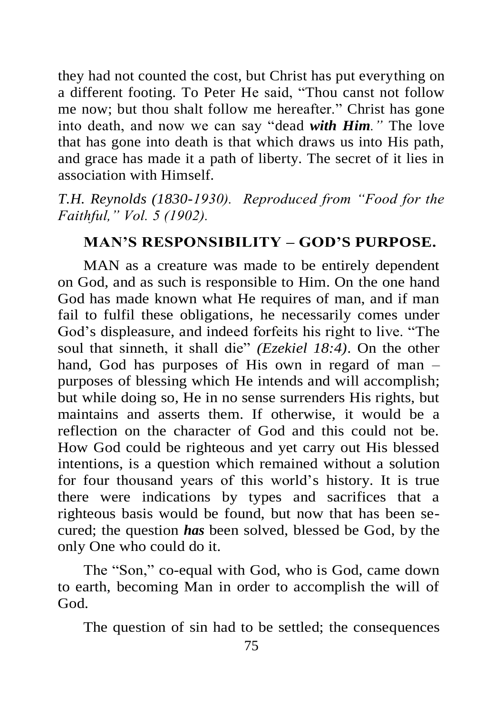they had not counted the cost, but Christ has put everything on a different footing. To Peter He said, "Thou canst not follow me now; but thou shalt follow me hereafter." Christ has gone into death, and now we can say "dead *with Him."* The love that has gone into death is that which draws us into His path, and grace has made it a path of liberty. The secret of it lies in association with Himself.

*T.H. Reynolds (1830-1930). Reproduced from "Food for the Faithful," Vol. 5 (1902).*

#### **MAN'S RESPONSIBILITY – GOD'S PURPOSE.**

MAN as a creature was made to be entirely dependent on God, and as such is responsible to Him. On the one hand God has made known what He requires of man, and if man fail to fulfil these obligations, he necessarily comes under God's displeasure, and indeed forfeits his right to live. "The soul that sinneth, it shall die" *(Ezekiel 18:4)*. On the other hand, God has purposes of His own in regard of man – purposes of blessing which He intends and will accomplish; but while doing so, He in no sense surrenders His rights, but maintains and asserts them. If otherwise, it would be a reflection on the character of God and this could not be. How God could be righteous and yet carry out His blessed intentions, is a question which remained without a solution for four thousand years of this world's history. It is true there were indications by types and sacrifices that a righteous basis would be found, but now that has been secured; the question *has* been solved, blessed be God, by the only One who could do it.

The "Son," co-equal with God, who is God, came down to earth, becoming Man in order to accomplish the will of God.

The question of sin had to be settled; the consequences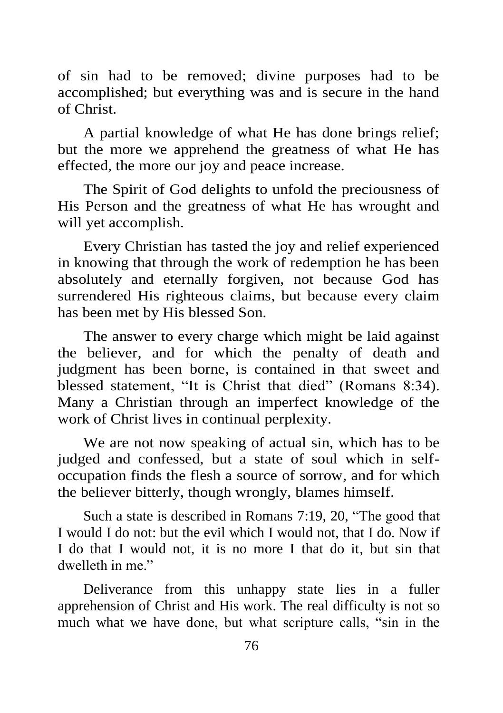of sin had to be removed; divine purposes had to be accomplished; but everything was and is secure in the hand of Christ.

A partial knowledge of what He has done brings relief; but the more we apprehend the greatness of what He has effected, the more our joy and peace increase.

The Spirit of God delights to unfold the preciousness of His Person and the greatness of what He has wrought and will yet accomplish.

Every Christian has tasted the joy and relief experienced in knowing that through the work of redemption he has been absolutely and eternally forgiven, not because God has surrendered His righteous claims, but because every claim has been met by His blessed Son.

The answer to every charge which might be laid against the believer, and for which the penalty of death and judgment has been borne, is contained in that sweet and blessed statement, "It is Christ that died" (Romans 8:34). Many a Christian through an imperfect knowledge of the work of Christ lives in continual perplexity.

We are not now speaking of actual sin, which has to be judged and confessed, but a state of soul which in selfoccupation finds the flesh a source of sorrow, and for which the believer bitterly, though wrongly, blames himself.

Such a state is described in Romans 7:19, 20, "The good that I would I do not: but the evil which I would not, that I do. Now if I do that I would not, it is no more I that do it, but sin that dwelleth in me."

Deliverance from this unhappy state lies in a fuller apprehension of Christ and His work. The real difficulty is not so much what we have done, but what scripture calls, "sin in the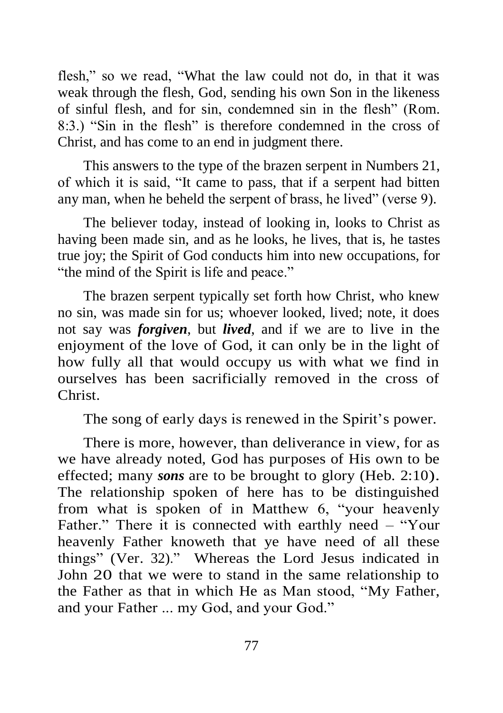flesh," so we read, "What the law could not do, in that it was weak through the flesh, God, sending his own Son in the likeness of sinful flesh, and for sin, condemned sin in the flesh" (Rom. 8:3.) "Sin in the flesh" is therefore condemned in the cross of Christ, and has come to an end in judgment there.

This answers to the type of the brazen serpent in Numbers 21, of which it is said, "It came to pass, that if a serpent had bitten any man, when he beheld the serpent of brass, he lived" (verse 9).

The believer today, instead of looking in, looks to Christ as having been made sin, and as he looks, he lives, that is, he tastes true joy; the Spirit of God conducts him into new occupations, for "the mind of the Spirit is life and peace."

The brazen serpent typically set forth how Christ, who knew no sin, was made sin for us; whoever looked, lived; note, it does not say was *forgiven*, but *lived*, and if we are to live in the enjoyment of the love of God, it can only be in the light of how fully all that would occupy us with what we find in ourselves has been sacrificially removed in the cross of Christ.

The song of early days is renewed in the Spirit's power.

There is more, however, than deliverance in view, for as we have already noted, God has purposes of His own to be effected; many *sons* are to be brought to glory (Heb. 2:10). The relationship spoken of here has to be distinguished from what is spoken of in Matthew 6, "your heavenly Father." There it is connected with earthly need – "Your heavenly Father knoweth that ye have need of all these things" (Ver. 32)." Whereas the Lord Jesus indicated in John 20 that we were to stand in the same relationship to the Father as that in which He as Man stood, "My Father, and your Father ... my God, and your God."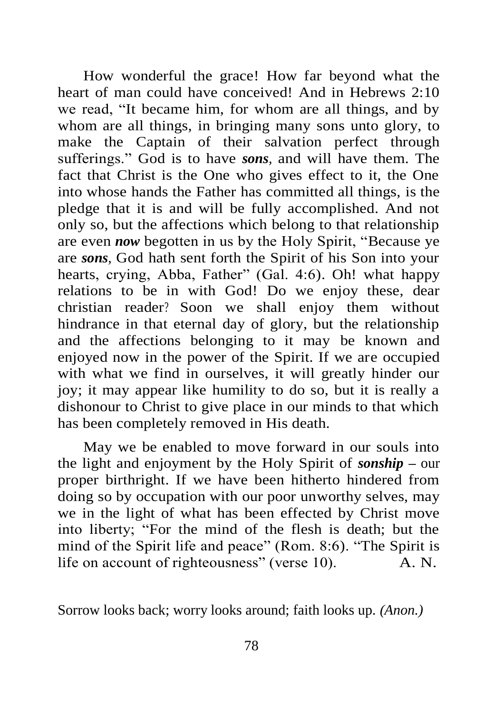How wonderful the grace! How far beyond what the heart of man could have conceived! And in Hebrews 2:10 we read, "It became him, for whom are all things, and by whom are all things, in bringing many sons unto glory, to make the Captain of their salvation perfect through sufferings." God is to have *sons,* and will have them. The fact that Christ is the One who gives effect to it, the One into whose hands the Father has committed all things, is the pledge that it is and will be fully accomplished. And not only so, but the affections which belong to that relationship are even *now* begotten in us by the Holy Spirit, "Because ye are *sons,* God hath sent forth the Spirit of his Son into your hearts, crying, Abba, Father" (Gal. 4:6). Oh! what happy relations to be in with God! Do we enjoy these, dear christian reader? Soon we shall enjoy them without hindrance in that eternal day of glory, but the relationship and the affections belonging to it may be known and enjoyed now in the power of the Spirit. If we are occupied with what we find in ourselves, it will greatly hinder our joy; it may appear like humility to do so, but it is really a dishonour to Christ to give place in our minds to that which has been completely removed in His death.

May we be enabled to move forward in our souls into the light and enjoyment by the Holy Spirit of *sonship –* our proper birthright. If we have been hitherto hindered from doing so by occupation with our poor unworthy selves, may we in the light of what has been effected by Christ move into liberty; "For the mind of the flesh is death; but the mind of the Spirit life and peace" (Rom. 8:6). "The Spirit is life on account of righteousness" (verse 10). A. N.

Sorrow looks back; worry looks around; faith looks up. *(Anon.)*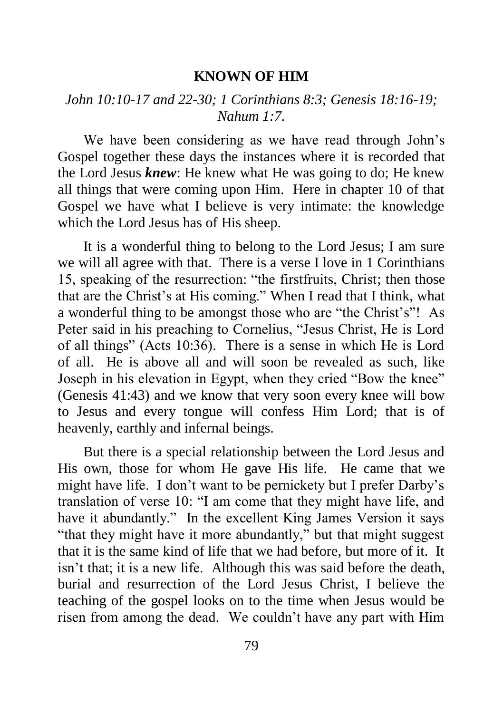#### **KNOWN OF HIM**

#### *John 10:10-17 and 22-30; 1 Corinthians 8:3; Genesis 18:16-19; Nahum 1:7.*

We have been considering as we have read through John's Gospel together these days the instances where it is recorded that the Lord Jesus *knew*: He knew what He was going to do; He knew all things that were coming upon Him. Here in chapter 10 of that Gospel we have what I believe is very intimate: the knowledge which the Lord Jesus has of His sheep.

It is a wonderful thing to belong to the Lord Jesus; I am sure we will all agree with that. There is a verse I love in 1 Corinthians 15, speaking of the resurrection: "the firstfruits, Christ; then those that are the Christ's at His coming." When I read that I think, what a wonderful thing to be amongst those who are "the Christ's"! As Peter said in his preaching to Cornelius, "Jesus Christ, He is Lord of all things" (Acts 10:36). There is a sense in which He is Lord of all. He is above all and will soon be revealed as such, like Joseph in his elevation in Egypt, when they cried "Bow the knee" (Genesis 41:43) and we know that very soon every knee will bow to Jesus and every tongue will confess Him Lord; that is of heavenly, earthly and infernal beings.

But there is a special relationship between the Lord Jesus and His own, those for whom He gave His life. He came that we might have life. I don't want to be pernickety but I prefer Darby's translation of verse 10: "I am come that they might have life, and have it abundantly." In the excellent King James Version it says "that they might have it more abundantly," but that might suggest that it is the same kind of life that we had before, but more of it. It isn't that; it is a new life. Although this was said before the death, burial and resurrection of the Lord Jesus Christ, I believe the teaching of the gospel looks on to the time when Jesus would be risen from among the dead. We couldn't have any part with Him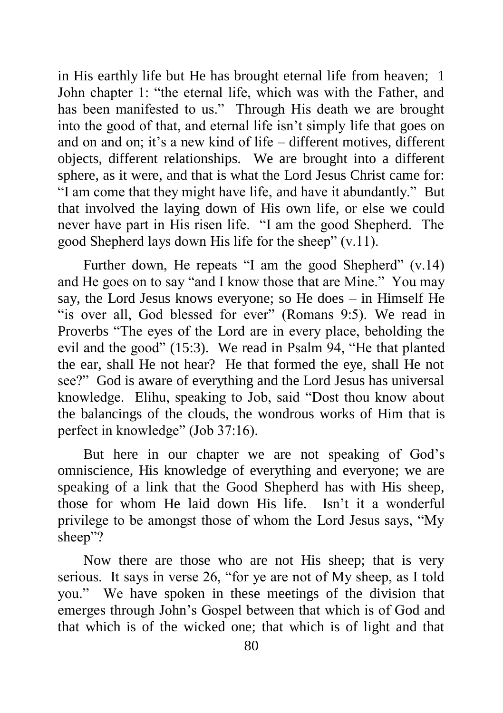in His earthly life but He has brought eternal life from heaven; 1 John chapter 1: "the eternal life, which was with the Father, and has been manifested to us." Through His death we are brought into the good of that, and eternal life isn't simply life that goes on and on and on; it's a new kind of life – different motives, different objects, different relationships. We are brought into a different sphere, as it were, and that is what the Lord Jesus Christ came for: "I am come that they might have life, and have it abundantly." But that involved the laying down of His own life, or else we could never have part in His risen life. "I am the good Shepherd. The good Shepherd lays down His life for the sheep" (v.11).

Further down, He repeats "I am the good Shepherd" (v.14) and He goes on to say "and I know those that are Mine." You may say, the Lord Jesus knows everyone; so He does – in Himself He "is over all, God blessed for ever" (Romans 9:5). We read in Proverbs "The eyes of the Lord are in every place, beholding the evil and the good" (15:3). We read in Psalm 94, "He that planted the ear, shall He not hear? He that formed the eye, shall He not see?" God is aware of everything and the Lord Jesus has universal knowledge. Elihu, speaking to Job, said "Dost thou know about the balancings of the clouds, the wondrous works of Him that is perfect in knowledge" (Job 37:16).

But here in our chapter we are not speaking of God's omniscience, His knowledge of everything and everyone; we are speaking of a link that the Good Shepherd has with His sheep, those for whom He laid down His life. Isn't it a wonderful privilege to be amongst those of whom the Lord Jesus says, "My sheep"?

Now there are those who are not His sheep; that is very serious. It says in verse 26, "for ye are not of My sheep, as I told you." We have spoken in these meetings of the division that emerges through John's Gospel between that which is of God and that which is of the wicked one; that which is of light and that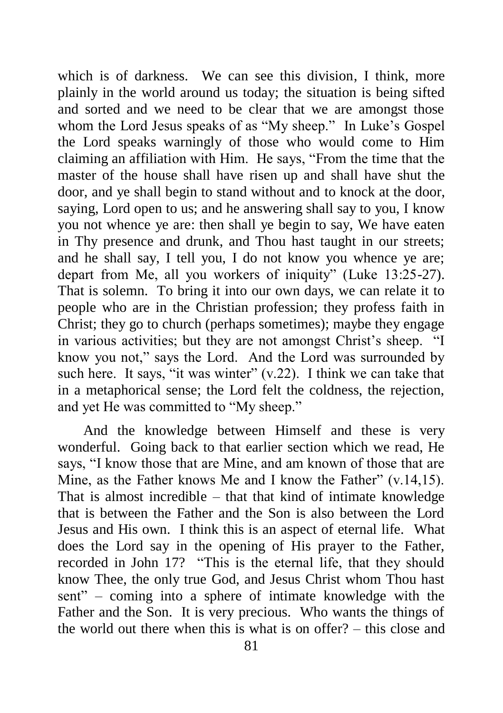which is of darkness. We can see this division, I think, more plainly in the world around us today; the situation is being sifted and sorted and we need to be clear that we are amongst those whom the Lord Jesus speaks of as "My sheep." In Luke's Gospel the Lord speaks warningly of those who would come to Him claiming an affiliation with Him. He says, "From the time that the master of the house shall have risen up and shall have shut the door, and ye shall begin to stand without and to knock at the door, saying, Lord open to us; and he answering shall say to you, I know you not whence ye are: then shall ye begin to say, We have eaten in Thy presence and drunk, and Thou hast taught in our streets; and he shall say, I tell you, I do not know you whence ye are; depart from Me, all you workers of iniquity" (Luke 13:25-27). That is solemn. To bring it into our own days, we can relate it to people who are in the Christian profession; they profess faith in Christ; they go to church (perhaps sometimes); maybe they engage in various activities; but they are not amongst Christ's sheep. "I know you not," says the Lord. And the Lord was surrounded by such here. It says, "it was winter"  $(v.22)$ . I think we can take that in a metaphorical sense; the Lord felt the coldness, the rejection, and yet He was committed to "My sheep."

And the knowledge between Himself and these is very wonderful. Going back to that earlier section which we read, He says, "I know those that are Mine, and am known of those that are Mine, as the Father knows Me and I know the Father" (v.14,15). That is almost incredible – that that kind of intimate knowledge that is between the Father and the Son is also between the Lord Jesus and His own. I think this is an aspect of eternal life. What does the Lord say in the opening of His prayer to the Father, recorded in John 17? "This is the eternal life, that they should know Thee, the only true God, and Jesus Christ whom Thou hast sent" – coming into a sphere of intimate knowledge with the Father and the Son. It is very precious. Who wants the things of the world out there when this is what is on offer? – this close and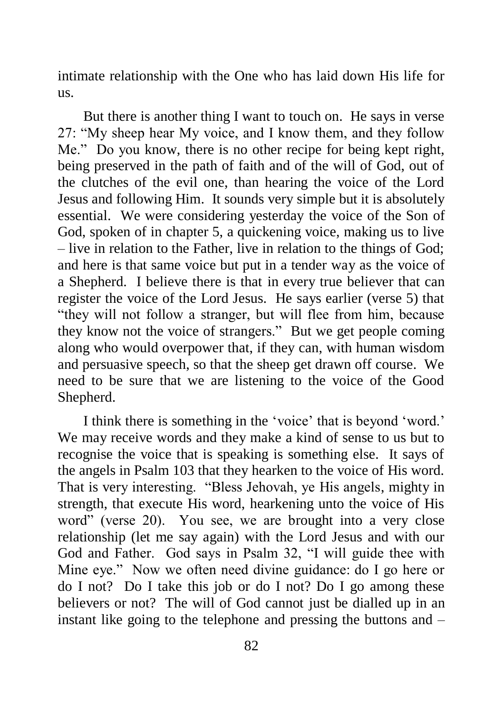intimate relationship with the One who has laid down His life for us.

But there is another thing I want to touch on. He says in verse 27: "My sheep hear My voice, and I know them, and they follow Me." Do you know, there is no other recipe for being kept right, being preserved in the path of faith and of the will of God, out of the clutches of the evil one, than hearing the voice of the Lord Jesus and following Him. It sounds very simple but it is absolutely essential. We were considering yesterday the voice of the Son of God, spoken of in chapter 5, a quickening voice, making us to live – live in relation to the Father, live in relation to the things of God; and here is that same voice but put in a tender way as the voice of a Shepherd. I believe there is that in every true believer that can register the voice of the Lord Jesus. He says earlier (verse 5) that "they will not follow a stranger, but will flee from him, because they know not the voice of strangers." But we get people coming along who would overpower that, if they can, with human wisdom and persuasive speech, so that the sheep get drawn off course. We need to be sure that we are listening to the voice of the Good Shepherd.

I think there is something in the 'voice' that is beyond 'word.' We may receive words and they make a kind of sense to us but to recognise the voice that is speaking is something else. It says of the angels in Psalm 103 that they hearken to the voice of His word. That is very interesting. "Bless Jehovah, ye His angels, mighty in strength, that execute His word, hearkening unto the voice of His word" (verse 20). You see, we are brought into a very close relationship (let me say again) with the Lord Jesus and with our God and Father. God says in Psalm 32, "I will guide thee with Mine eye." Now we often need divine guidance: do I go here or do I not? Do I take this job or do I not? Do I go among these believers or not? The will of God cannot just be dialled up in an instant like going to the telephone and pressing the buttons and –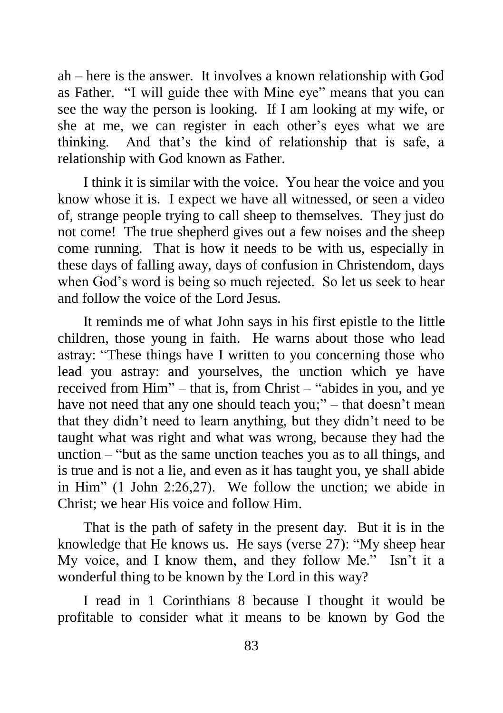ah – here is the answer. It involves a known relationship with God as Father. "I will guide thee with Mine eye" means that you can see the way the person is looking. If I am looking at my wife, or she at me, we can register in each other's eyes what we are thinking. And that's the kind of relationship that is safe, a relationship with God known as Father.

I think it is similar with the voice. You hear the voice and you know whose it is. I expect we have all witnessed, or seen a video of, strange people trying to call sheep to themselves. They just do not come! The true shepherd gives out a few noises and the sheep come running. That is how it needs to be with us, especially in these days of falling away, days of confusion in Christendom, days when God's word is being so much rejected. So let us seek to hear and follow the voice of the Lord Jesus.

It reminds me of what John says in his first epistle to the little children, those young in faith. He warns about those who lead astray: "These things have I written to you concerning those who lead you astray: and yourselves, the unction which ye have received from Him" – that is, from Christ – "abides in you, and ye have not need that any one should teach you;" – that doesn't mean that they didn't need to learn anything, but they didn't need to be taught what was right and what was wrong, because they had the unction – "but as the same unction teaches you as to all things, and is true and is not a lie, and even as it has taught you, ye shall abide in Him" (1 John 2:26,27). We follow the unction; we abide in Christ; we hear His voice and follow Him.

That is the path of safety in the present day. But it is in the knowledge that He knows us. He says (verse 27): "My sheep hear My voice, and I know them, and they follow Me." Isn't it a wonderful thing to be known by the Lord in this way?

I read in 1 Corinthians 8 because I thought it would be profitable to consider what it means to be known by God the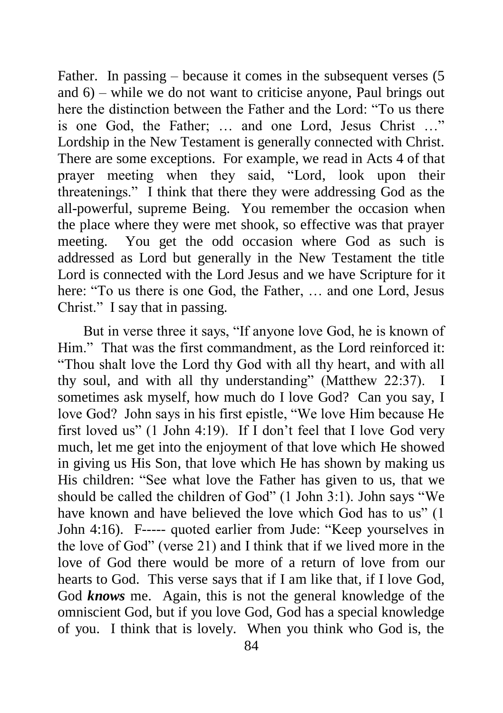Father. In passing – because it comes in the subsequent verses (5 and 6) – while we do not want to criticise anyone, Paul brings out here the distinction between the Father and the Lord: "To us there is one God, the Father; … and one Lord, Jesus Christ …" Lordship in the New Testament is generally connected with Christ. There are some exceptions. For example, we read in Acts 4 of that prayer meeting when they said, "Lord, look upon their threatenings." I think that there they were addressing God as the all-powerful, supreme Being. You remember the occasion when the place where they were met shook, so effective was that prayer meeting. You get the odd occasion where God as such is addressed as Lord but generally in the New Testament the title Lord is connected with the Lord Jesus and we have Scripture for it here: "To us there is one God, the Father, … and one Lord, Jesus Christ." I say that in passing.

But in verse three it says, "If anyone love God, he is known of Him." That was the first commandment, as the Lord reinforced it: "Thou shalt love the Lord thy God with all thy heart, and with all thy soul, and with all thy understanding" (Matthew 22:37). I sometimes ask myself, how much do I love God? Can you say, I love God? John says in his first epistle, "We love Him because He first loved us" (1 John 4:19). If I don't feel that I love God very much, let me get into the enjoyment of that love which He showed in giving us His Son, that love which He has shown by making us His children: "See what love the Father has given to us, that we should be called the children of God" (1 John 3:1). John says "We have known and have believed the love which God has to us" (1 John 4:16). F----- quoted earlier from Jude: "Keep yourselves in the love of God" (verse 21) and I think that if we lived more in the love of God there would be more of a return of love from our hearts to God. This verse says that if I am like that, if I love God, God *knows* me. Again, this is not the general knowledge of the omniscient God, but if you love God, God has a special knowledge of you. I think that is lovely. When you think who God is, the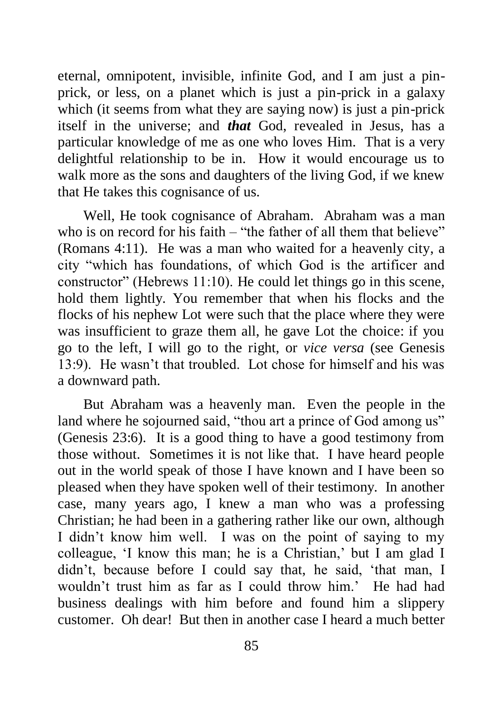eternal, omnipotent, invisible, infinite God, and I am just a pinprick, or less, on a planet which is just a pin-prick in a galaxy which (it seems from what they are saying now) is just a pin-prick itself in the universe; and *that* God, revealed in Jesus, has a particular knowledge of me as one who loves Him. That is a very delightful relationship to be in. How it would encourage us to walk more as the sons and daughters of the living God, if we knew that He takes this cognisance of us.

Well, He took cognisance of Abraham. Abraham was a man who is on record for his faith – "the father of all them that believe" (Romans 4:11). He was a man who waited for a heavenly city, a city "which has foundations, of which God is the artificer and constructor" (Hebrews 11:10). He could let things go in this scene, hold them lightly. You remember that when his flocks and the flocks of his nephew Lot were such that the place where they were was insufficient to graze them all, he gave Lot the choice: if you go to the left, I will go to the right, or *vice versa* (see Genesis 13:9). He wasn't that troubled. Lot chose for himself and his was a downward path.

But Abraham was a heavenly man. Even the people in the land where he sojourned said, "thou art a prince of God among us" (Genesis 23:6). It is a good thing to have a good testimony from those without. Sometimes it is not like that. I have heard people out in the world speak of those I have known and I have been so pleased when they have spoken well of their testimony. In another case, many years ago, I knew a man who was a professing Christian; he had been in a gathering rather like our own, although I didn't know him well. I was on the point of saying to my colleague, 'I know this man; he is a Christian,' but I am glad I didn't, because before I could say that, he said, 'that man, I wouldn't trust him as far as I could throw him.' He had had business dealings with him before and found him a slippery customer. Oh dear! But then in another case I heard a much better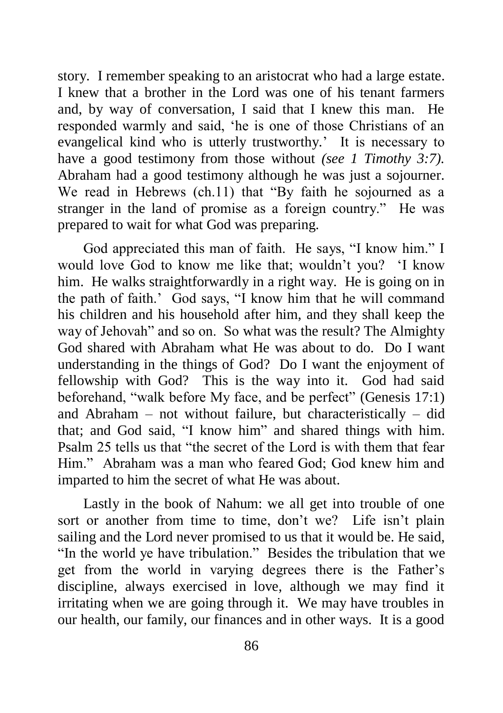story. I remember speaking to an aristocrat who had a large estate. I knew that a brother in the Lord was one of his tenant farmers and, by way of conversation, I said that I knew this man. He responded warmly and said, 'he is one of those Christians of an evangelical kind who is utterly trustworthy.' It is necessary to have a good testimony from those without *(see 1 Timothy 3:7).*  Abraham had a good testimony although he was just a sojourner. We read in Hebrews (ch.11) that "By faith he sojourned as a stranger in the land of promise as a foreign country." He was prepared to wait for what God was preparing.

God appreciated this man of faith. He says, "I know him." I would love God to know me like that; wouldn't you? 'I know him. He walks straightforwardly in a right way. He is going on in the path of faith.' God says, "I know him that he will command his children and his household after him, and they shall keep the way of Jehovah" and so on. So what was the result? The Almighty God shared with Abraham what He was about to do. Do I want understanding in the things of God? Do I want the enjoyment of fellowship with God? This is the way into it. God had said beforehand, "walk before My face, and be perfect" (Genesis 17:1) and Abraham – not without failure, but characteristically – did that; and God said, "I know him" and shared things with him. Psalm 25 tells us that "the secret of the Lord is with them that fear Him." Abraham was a man who feared God; God knew him and imparted to him the secret of what He was about.

Lastly in the book of Nahum: we all get into trouble of one sort or another from time to time, don't we? Life isn't plain sailing and the Lord never promised to us that it would be. He said, "In the world ye have tribulation." Besides the tribulation that we get from the world in varying degrees there is the Father's discipline, always exercised in love, although we may find it irritating when we are going through it. We may have troubles in our health, our family, our finances and in other ways. It is a good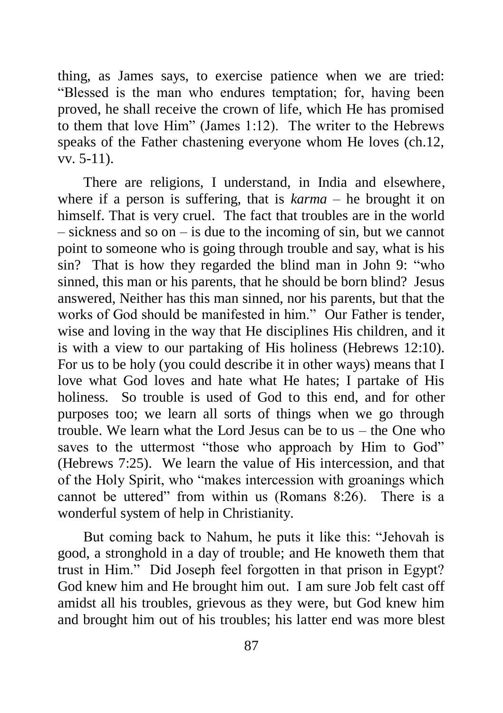thing, as James says, to exercise patience when we are tried: "Blessed is the man who endures temptation; for, having been proved, he shall receive the crown of life, which He has promised to them that love Him" (James 1:12). The writer to the Hebrews speaks of the Father chastening everyone whom He loves (ch.12, vv. 5-11).

There are religions, I understand, in India and elsewhere, where if a person is suffering, that is *karma* – he brought it on himself. That is very cruel. The fact that troubles are in the world – sickness and so on – is due to the incoming of sin, but we cannot point to someone who is going through trouble and say, what is his sin? That is how they regarded the blind man in John 9: "who sinned, this man or his parents, that he should be born blind? Jesus answered, Neither has this man sinned, nor his parents, but that the works of God should be manifested in him." Our Father is tender, wise and loving in the way that He disciplines His children, and it is with a view to our partaking of His holiness (Hebrews 12:10). For us to be holy (you could describe it in other ways) means that I love what God loves and hate what He hates; I partake of His holiness. So trouble is used of God to this end, and for other purposes too; we learn all sorts of things when we go through trouble. We learn what the Lord Jesus can be to us – the One who saves to the uttermost "those who approach by Him to God" (Hebrews 7:25). We learn the value of His intercession, and that of the Holy Spirit, who "makes intercession with groanings which cannot be uttered" from within us (Romans 8:26). There is a wonderful system of help in Christianity.

But coming back to Nahum, he puts it like this: "Jehovah is good, a stronghold in a day of trouble; and He knoweth them that trust in Him." Did Joseph feel forgotten in that prison in Egypt? God knew him and He brought him out. I am sure Job felt cast off amidst all his troubles, grievous as they were, but God knew him and brought him out of his troubles; his latter end was more blest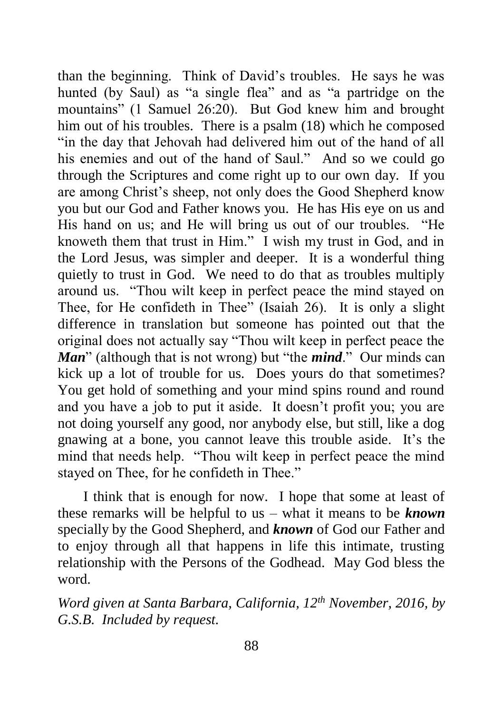than the beginning. Think of David's troubles. He says he was hunted (by Saul) as "a single flea" and as "a partridge on the mountains" (1 Samuel 26:20). But God knew him and brought him out of his troubles. There is a psalm (18) which he composed "in the day that Jehovah had delivered him out of the hand of all his enemies and out of the hand of Saul." And so we could go through the Scriptures and come right up to our own day. If you are among Christ's sheep, not only does the Good Shepherd know you but our God and Father knows you. He has His eye on us and His hand on us; and He will bring us out of our troubles. "He knoweth them that trust in Him." I wish my trust in God, and in the Lord Jesus, was simpler and deeper. It is a wonderful thing quietly to trust in God. We need to do that as troubles multiply around us. "Thou wilt keep in perfect peace the mind stayed on Thee, for He confideth in Thee" (Isaiah 26). It is only a slight difference in translation but someone has pointed out that the original does not actually say "Thou wilt keep in perfect peace the *Man*" (although that is not wrong) but "the *mind*." Our minds can kick up a lot of trouble for us. Does yours do that sometimes? You get hold of something and your mind spins round and round and you have a job to put it aside. It doesn't profit you; you are not doing yourself any good, nor anybody else, but still, like a dog gnawing at a bone, you cannot leave this trouble aside. It's the mind that needs help. "Thou wilt keep in perfect peace the mind stayed on Thee, for he confideth in Thee."

I think that is enough for now. I hope that some at least of these remarks will be helpful to us – what it means to be *known* specially by the Good Shepherd, and *known* of God our Father and to enjoy through all that happens in life this intimate, trusting relationship with the Persons of the Godhead. May God bless the word.

*Word given at Santa Barbara, California, 12th November, 2016, by G.S.B. Included by request.*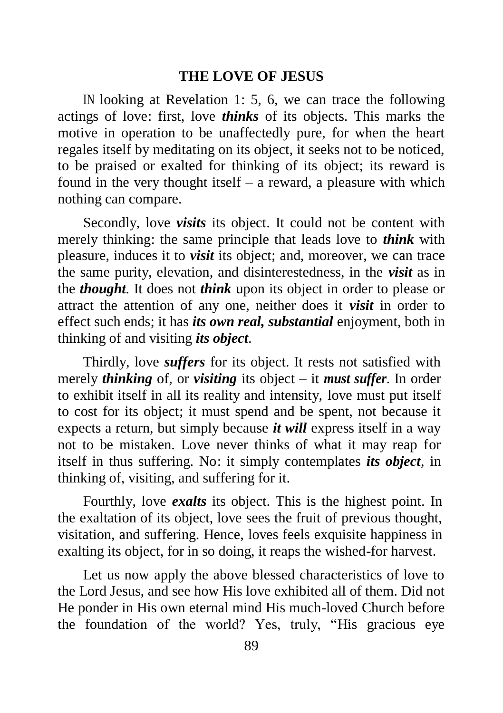#### **THE LOVE OF JESUS**

IN looking at Revelation 1: 5, 6, we can trace the following actings of love: first, love *thinks* of its objects. This marks the motive in operation to be unaffectedly pure, for when the heart regales itself by meditating on its object, it seeks not to be noticed, to be praised or exalted for thinking of its object; its reward is found in the very thought itself – a reward, a pleasure with which nothing can compare.

Secondly, love *visits* its object. It could not be content with merely thinking: the same principle that leads love to *think* with pleasure, induces it to *visit* its object; and, moreover, we can trace the same purity, elevation, and disinterestedness, in the *visit* as in the *thought.* It does not *think* upon its object in order to please or attract the attention of any one, neither does it *visit* in order to effect such ends; it has *its own real, substantial* enjoyment, both in thinking of and visiting *its object.* 

Thirdly, love *suffers* for its object. It rests not satisfied with merely *thinking* of, or *visiting* its object – it *must suffer.* In order to exhibit itself in all its reality and intensity, love must put itself to cost for its object; it must spend and be spent, not because it expects a return, but simply because *it will* express itself in a way not to be mistaken. Love never thinks of what it may reap for itself in thus suffering. No: it simply contemplates *its object,* in thinking of, visiting, and suffering for it.

Fourthly, love *exalts* its object. This is the highest point. In the exaltation of its object, love sees the fruit of previous thought, visitation, and suffering. Hence, loves feels exquisite happiness in exalting its object, for in so doing, it reaps the wished-for harvest.

Let us now apply the above blessed characteristics of love to the Lord Jesus, and see how His love exhibited all of them. Did not He ponder in His own eternal mind His much-loved Church before the foundation of the world? Yes, truly, "His gracious eye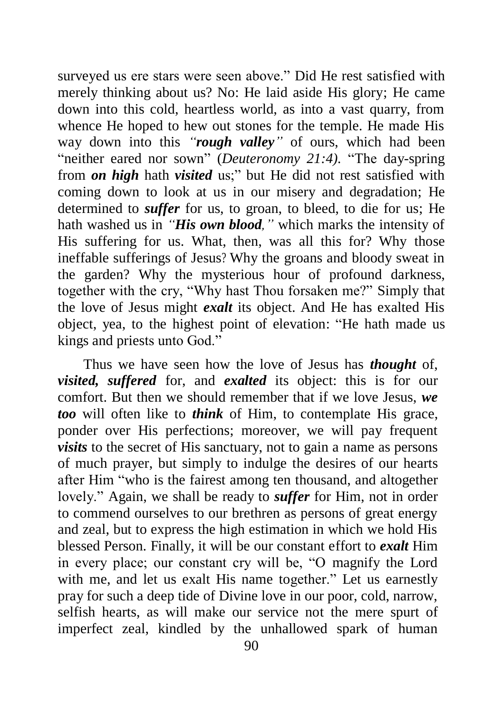surveyed us ere stars were seen above." Did He rest satisfied with merely thinking about us? No: He laid aside His glory; He came down into this cold, heartless world, as into a vast quarry, from whence He hoped to hew out stones for the temple. He made His way down into this *"rough valley"* of ours, which had been "neither eared nor sown" (*Deuteronomy 21:4).* "The day-spring from *on high* hath *visited* us;" but He did not rest satisfied with coming down to look at us in our misery and degradation; He determined to *suffer* for us, to groan, to bleed, to die for us; He hath washed us in *"His own blood,"* which marks the intensity of His suffering for us. What, then, was all this for? Why those ineffable sufferings of Jesus? Why the groans and bloody sweat in the garden? Why the mysterious hour of profound darkness, together with the cry, "Why hast Thou forsaken me?" Simply that the love of Jesus might *exalt* its object. And He has exalted His object, yea, to the highest point of elevation: "He hath made us kings and priests unto God."

Thus we have seen how the love of Jesus has *thought* of, *visited, suffered* for, and *exalted* its object: this is for our comfort. But then we should remember that if we love Jesus, *we too* will often like to *think* of Him, to contemplate His grace, ponder over His perfections; moreover, we will pay frequent *visits* to the secret of His sanctuary, not to gain a name as persons of much prayer, but simply to indulge the desires of our hearts after Him "who is the fairest among ten thousand, and altogether lovely." Again, we shall be ready to *suffer* for Him, not in order to commend ourselves to our brethren as persons of great energy and zeal, but to express the high estimation in which we hold His blessed Person. Finally, it will be our constant effort to *exalt* Him in every place; our constant cry will be, "O magnify the Lord with me, and let us exalt His name together." Let us earnestly pray for such a deep tide of Divine love in our poor, cold, narrow, selfish hearts, as will make our service not the mere spurt of imperfect zeal, kindled by the unhallowed spark of human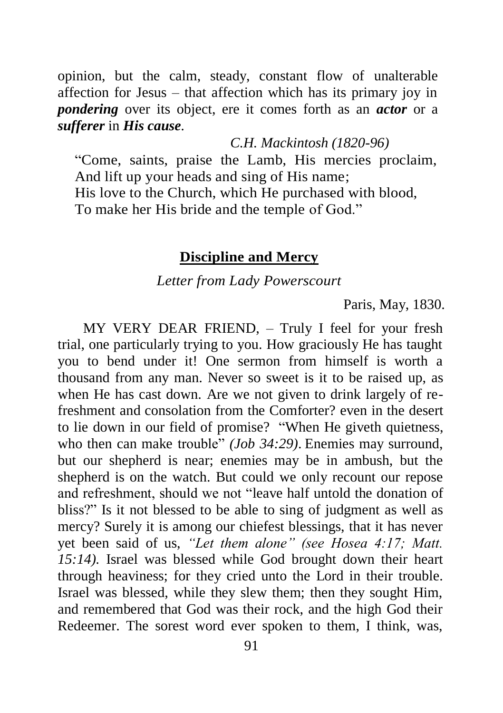opinion, but the calm, steady, constant flow of unalterable affection for Jesus – that affection which has its primary joy in *pondering* over its object, ere it comes forth as an *actor* or a *sufferer* in *His cause.* 

*C.H. Mackintosh (1820-96)*

"Come, saints, praise the Lamb, His mercies proclaim, And lift up your heads and sing of His name; His love to the Church, which He purchased with blood, To make her His bride and the temple of God."

#### **Discipline and Mercy**

*Letter from Lady Powerscourt*

Paris, May, 1830.

MY VERY DEAR FRIEND, – Truly I feel for your fresh trial, one particularly trying to you. How graciously He has taught you to bend under it! One sermon from himself is worth a thousand from any man. Never so sweet is it to be raised up, as when He has cast down. Are we not given to drink largely of refreshment and consolation from the Comforter? even in the desert to lie down in our field of promise? "When He giveth quietness, who then can make trouble" *(Job 34:29)*. Enemies may surround, but our shepherd is near; enemies may be in ambush, but the shepherd is on the watch. But could we only recount our repose and refreshment, should we not "leave half untold the donation of bliss?" Is it not blessed to be able to sing of judgment as well as mercy? Surely it is among our chiefest blessings, that it has never yet been said of us, *"Let them alone" (see Hosea 4:17; Matt. 15:14).* Israel was blessed while God brought down their heart through heaviness; for they cried unto the Lord in their trouble. Israel was blessed, while they slew them; then they sought Him, and remembered that God was their rock, and the high God their Redeemer. The sorest word ever spoken to them, I think, was,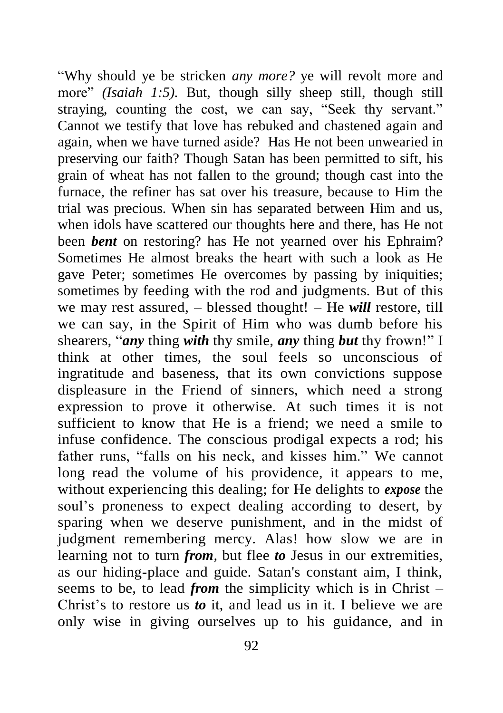"Why should ye be stricken *any more?* ye will revolt more and more" *(Isaiah 1:5)*. But, though silly sheep still, though still straying, counting the cost, we can say, "Seek thy servant." Cannot we testify that love has rebuked and chastened again and again, when we have turned aside? Has He not been unwearied in preserving our faith? Though Satan has been permitted to sift, his grain of wheat has not fallen to the ground; though cast into the furnace, the refiner has sat over his treasure, because to Him the trial was precious. When sin has separated between Him and us, when idols have scattered our thoughts here and there, has He not been *bent* on restoring? has He not yearned over his Ephraim? Sometimes He almost breaks the heart with such a look as He gave Peter; sometimes He overcomes by passing by iniquities; sometimes by feeding with the rod and judgments. But of this we may rest assured, – blessed thought! – He *will* restore, till we can say, in the Spirit of Him who was dumb before his shearers, "*any* thing *with* thy smile, *any* thing *but* thy frown!" I think at other times, the soul feels so unconscious of ingratitude and baseness, that its own convictions suppose displeasure in the Friend of sinners, which need a strong expression to prove it otherwise. At such times it is not sufficient to know that He is a friend; we need a smile to infuse confidence. The conscious prodigal expects a rod; his father runs, "falls on his neck, and kisses him." We cannot long read the volume of his providence, it appears to me, without experiencing this dealing; for He delights to *expose* the soul's proneness to expect dealing according to desert, by sparing when we deserve punishment, and in the midst of judgment remembering mercy. Alas! how slow we are in learning not to turn *from,* but flee *to* Jesus in our extremities, as our hiding-place and guide. Satan's constant aim, I think, seems to be, to lead *from* the simplicity which is in Christ – Christ's to restore us *to* it, and lead us in it. I believe we are only wise in giving ourselves up to his guidance, and in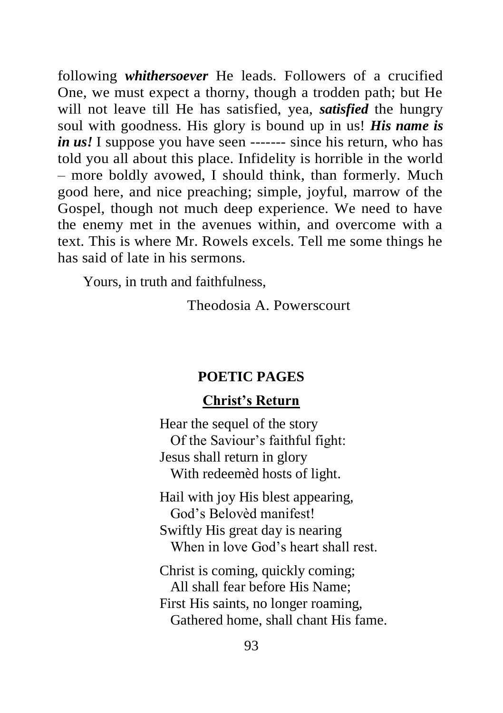following *whithersoever* He leads. Followers of a crucified One, we must expect a thorny, though a trodden path; but He will not leave till He has satisfied, yea, *satisfied* the hungry soul with goodness. His glory is bound up in us! *His name is in us!* I suppose you have seen ------- since his return, who has told you all about this place. Infidelity is horrible in the world – more boldly avowed, I should think, than formerly. Much good here, and nice preaching; simple, joyful, marrow of the Gospel, though not much deep experience. We need to have the enemy met in the avenues within, and overcome with a text. This is where Mr. Rowels excels. Tell me some things he has said of late in his sermons.

Yours, in truth and faithfulness,

Theodosia A. Powerscourt

#### **POETIC PAGES**

### **Christ's Return**

Hear the sequel of the story Of the Saviour's faithful fight: Jesus shall return in glory With redeemèd hosts of light.

Hail with joy His blest appearing, God's Belovèd manifest! Swiftly His great day is nearing When in love God's heart shall rest.

Christ is coming, quickly coming; All shall fear before His Name; First His saints, no longer roaming, Gathered home, shall chant His fame.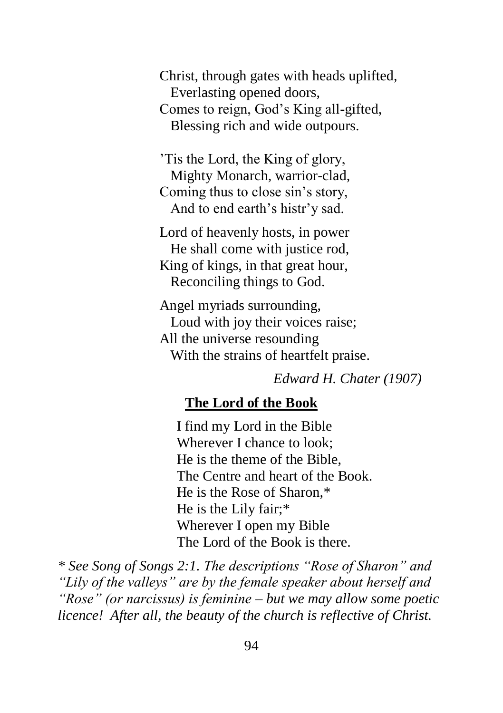Christ, through gates with heads uplifted, Everlasting opened doors, Comes to reign, God's King all-gifted, Blessing rich and wide outpours.

'Tis the Lord, the King of glory, Mighty Monarch, warrior-clad, Coming thus to close sin's story, And to end earth's histr'y sad.

Lord of heavenly hosts, in power He shall come with justice rod. King of kings, in that great hour, Reconciling things to God.

Angel myriads surrounding, Loud with joy their voices raise; All the universe resounding With the strains of heartfelt praise.

*Edward H. Chater (1907)*

### **The Lord of the Book**

I find my Lord in the Bible Wherever I chance to look; He is the theme of the Bible, The Centre and heart of the Book. He is the Rose of Sharon,\* He is the Lily fair;\* Wherever I open my Bible The Lord of the Book is there.

*\* See Song of Songs 2:1. The descriptions "Rose of Sharon" and "Lily of the valleys" are by the female speaker about herself and "Rose" (or narcissus) is feminine – but we may allow some poetic licence! After all, the beauty of the church is reflective of Christ.*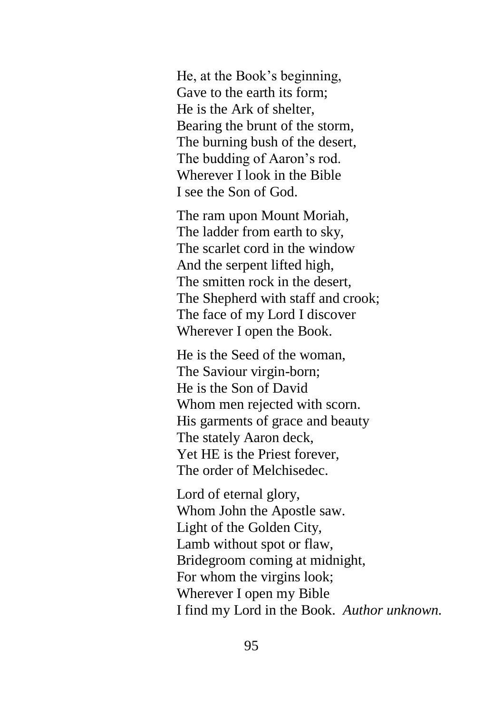He, at the Book's beginning, Gave to the earth its form; He is the Ark of shelter, Bearing the brunt of the storm, The burning bush of the desert, The budding of Aaron's rod. Wherever I look in the Bible I see the Son of God.

The ram upon Mount Moriah, The ladder from earth to sky, The scarlet cord in the window And the serpent lifted high, The smitten rock in the desert, The Shepherd with staff and crook; The face of my Lord I discover Wherever I open the Book.

He is the Seed of the woman, The Saviour virgin-born; He is the Son of David Whom men rejected with scorn. His garments of grace and beauty The stately Aaron deck, Yet HE is the Priest forever, The order of Melchisedec.

Lord of eternal glory, Whom John the Apostle saw. Light of the Golden City, Lamb without spot or flaw, Bridegroom coming at midnight, For whom the virgins look; Wherever I open my Bible I find my Lord in the Book. *Author unknown.*